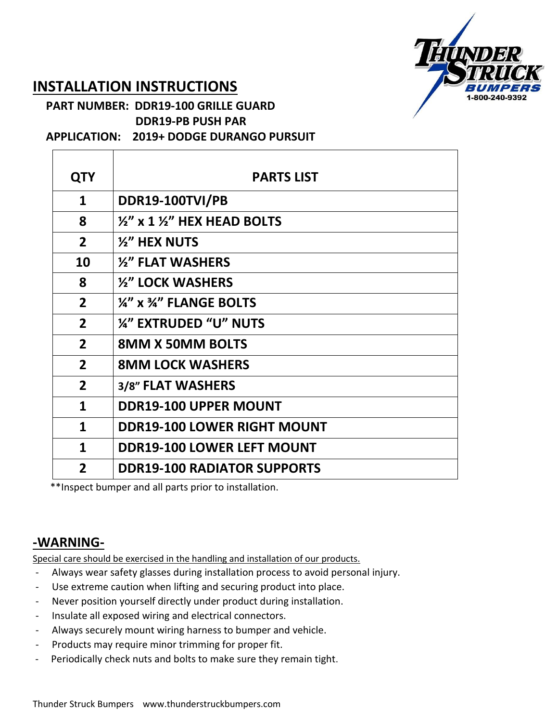

## **INSTALLATION INSTRUCTIONS**

## **PART NUMBER: DDR19-100 GRILLE GUARD DDR19-PB PUSH PAR**

 **APPLICATION: 2019+ DODGE DURANGO PURSUIT**

| <b>QTY</b>     | <b>PARTS LIST</b>                              |
|----------------|------------------------------------------------|
| $\mathbf{1}$   | <b>DDR19-100TVI/PB</b>                         |
| 8              | $\frac{1}{2}$ x 1 $\frac{1}{2}$ HEX HEAD BOLTS |
| $\overline{2}$ | $\frac{1}{2}$ HEX NUTS                         |
| 10             | $\frac{1}{2}$ FLAT WASHERS                     |
| 8              | 1/2" LOCK WASHERS                              |
| $\overline{2}$ | $\frac{1}{4}$ " x $\frac{3}{4}$ " FLANGE BOLTS |
| $\overline{2}$ | <b>14" EXTRUDED "U" NUTS</b>                   |
| $\overline{2}$ | <b>8MM X 50MM BOLTS</b>                        |
| $\overline{2}$ | <b>8MM LOCK WASHERS</b>                        |
| $\overline{2}$ | 3/8" FLAT WASHERS                              |
| $\mathbf{1}$   | <b>DDR19-100 UPPER MOUNT</b>                   |
| 1              | <b>DDR19-100 LOWER RIGHT MOUNT</b>             |
| 1              | <b>DDR19-100 LOWER LEFT MOUNT</b>              |
| $\overline{2}$ | <b>DDR19-100 RADIATOR SUPPORTS</b>             |

\*\*Inspect bumper and all parts prior to installation.

## **-WARNING-**

Special care should be exercised in the handling and installation of our products.

- Always wear safety glasses during installation process to avoid personal injury.
- Use extreme caution when lifting and securing product into place.
- Never position yourself directly under product during installation.
- Insulate all exposed wiring and electrical connectors.
- Always securely mount wiring harness to bumper and vehicle.
- Products may require minor trimming for proper fit.
- Periodically check nuts and bolts to make sure they remain tight.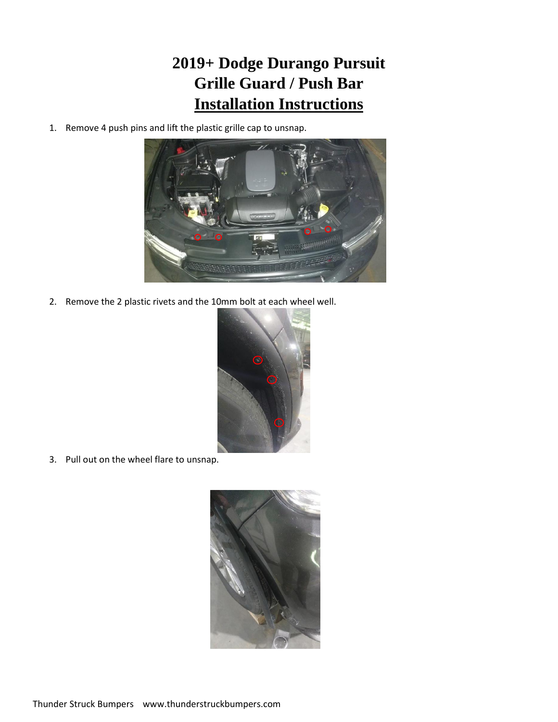## **2019+ Dodge Durango Pursuit Grille Guard / Push Bar Installation Instructions**

1. Remove 4 push pins and lift the plastic grille cap to unsnap.



2. Remove the 2 plastic rivets and the 10mm bolt at each wheel well.



3. Pull out on the wheel flare to unsnap.

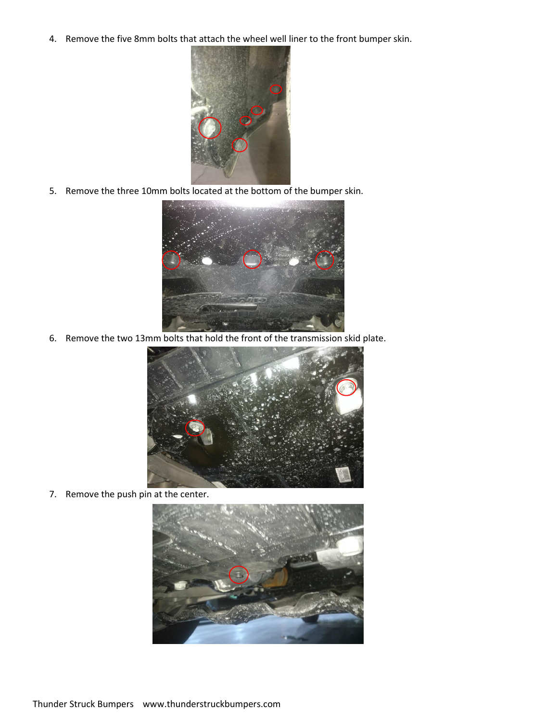4. Remove the five 8mm bolts that attach the wheel well liner to the front bumper skin.



5. Remove the three 10mm bolts located at the bottom of the bumper skin.



6. Remove the two 13mm bolts that hold the front of the transmission skid plate.



7. Remove the push pin at the center.

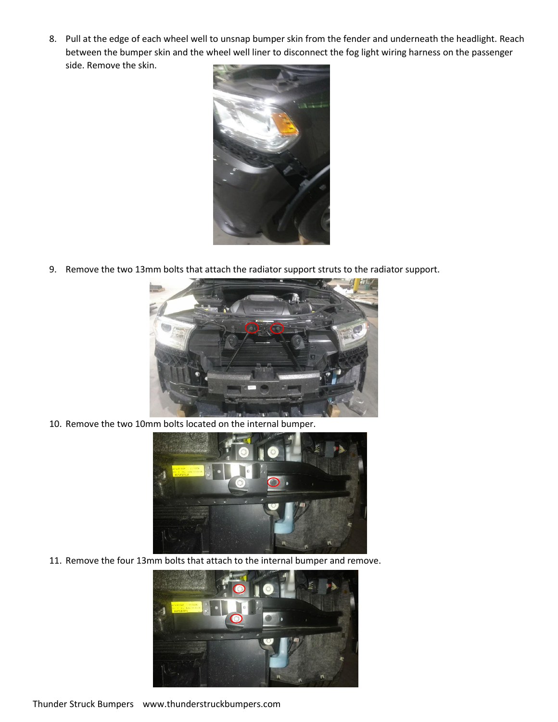8. Pull at the edge of each wheel well to unsnap bumper skin from the fender and underneath the headlight. Reach between the bumper skin and the wheel well liner to disconnect the fog light wiring harness on the passenger side. Remove the skin.



9. Remove the two 13mm bolts that attach the radiator support struts to the radiator support.



10. Remove the two 10mm bolts located on the internal bumper.



11. Remove the four 13mm bolts that attach to the internal bumper and remove.



Thunder Struck Bumpers www.thunderstruckbumpers.com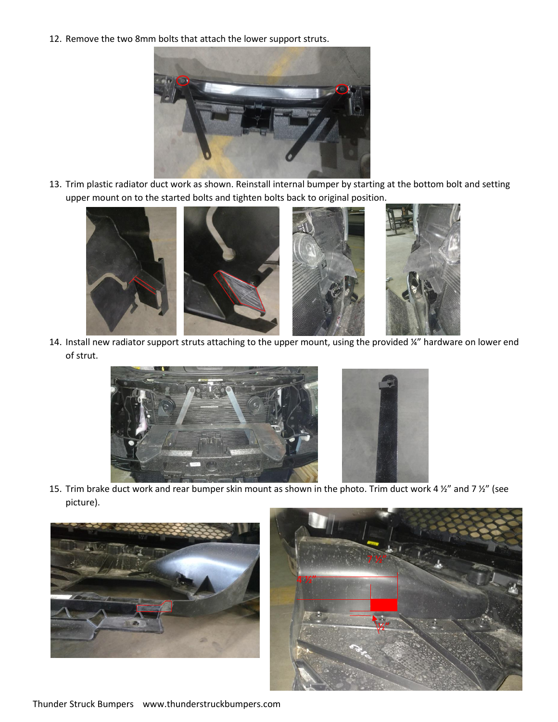12. Remove the two 8mm bolts that attach the lower support struts.



13. Trim plastic radiator duct work as shown. Reinstall internal bumper by starting at the bottom bolt and setting upper mount on to the started bolts and tighten bolts back to original position.



14. Install new radiator support struts attaching to the upper mount, using the provided ¼" hardware on lower end of strut.



15. Trim brake duct work and rear bumper skin mount as shown in the photo. Trim duct work 4  $\frac{1}{2}$  and 7  $\frac{1}{2}$  (see picture).